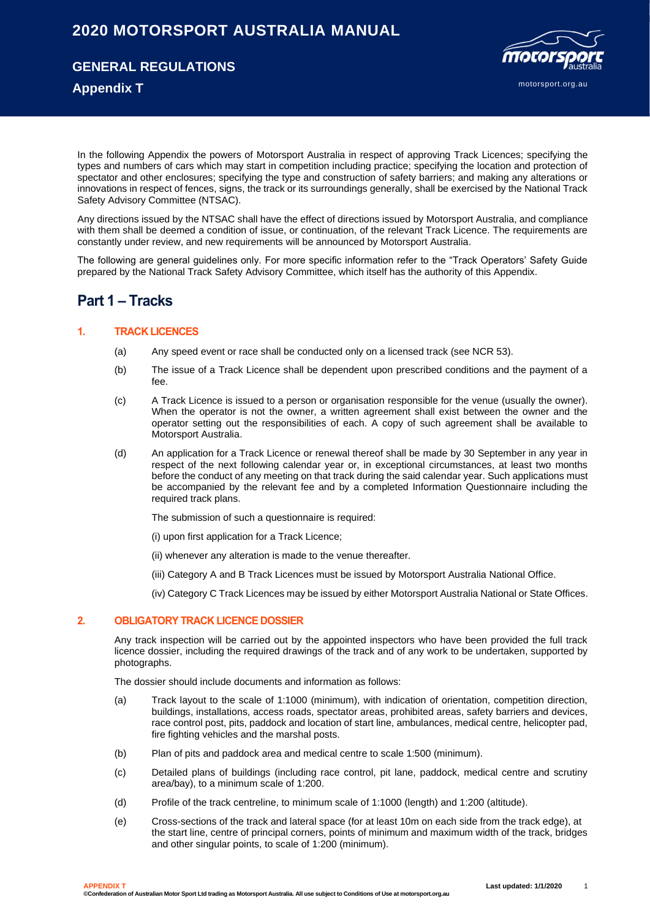# **2020 MOTORSPORT AUSTRALIA MANUAL**

**GENERAL REGULATIONS**

motorsport.org.au

## **Appendix T**

In the following Appendix the powers of Motorsport Australia in respect of approving Track Licences; specifying the types and numbers of cars which may start in competition including practice; specifying the location and protection of spectator and other enclosures; specifying the type and construction of safety barriers; and making any alterations or innovations in respect of fences, signs, the track or its surroundings generally, shall be exercised by the National Track Safety Advisory Committee (NTSAC).

Any directions issued by the NTSAC shall have the effect of directions issued by Motorsport Australia, and compliance with them shall be deemed a condition of issue, or continuation, of the relevant Track Licence. The requirements are constantly under review, and new requirements will be announced by Motorsport Australia.

The following are general guidelines only. For more specific information refer to the "Track Operators' Safety Guide prepared by the National Track Safety Advisory Committee, which itself has the authority of this Appendix.

# **Part 1 – Tracks**

#### **1. TRACK LICENCES**

- (a) Any speed event or race shall be conducted only on a licensed track (see NCR 53).
- (b) The issue of a Track Licence shall be dependent upon prescribed conditions and the payment of a fee.
- (c) A Track Licence is issued to a person or organisation responsible for the venue (usually the owner). When the operator is not the owner, a written agreement shall exist between the owner and the operator setting out the responsibilities of each. A copy of such agreement shall be available to Motorsport Australia.
- (d) An application for a Track Licence or renewal thereof shall be made by 30 September in any year in respect of the next following calendar year or, in exceptional circumstances, at least two months before the conduct of any meeting on that track during the said calendar year. Such applications must be accompanied by the relevant fee and by a completed Information Questionnaire including the required track plans.

The submission of such a questionnaire is required:

- (i) upon first application for a Track Licence;
- (ii) whenever any alteration is made to the venue thereafter.
- (iii) Category A and B Track Licences must be issued by Motorsport Australia National Office.
- (iv) Category C Track Licences may be issued by either Motorsport Australia National or State Offices.

#### **2. OBLIGATORY TRACK LICENCE DOSSIER**

Any track inspection will be carried out by the appointed inspectors who have been provided the full track licence dossier, including the required drawings of the track and of any work to be undertaken, supported by photographs.

The dossier should include documents and information as follows:

- (a) Track layout to the scale of 1:1000 (minimum), with indication of orientation, competition direction, buildings, installations, access roads, spectator areas, prohibited areas, safety barriers and devices, race control post, pits, paddock and location of start line, ambulances, medical centre, helicopter pad, fire fighting vehicles and the marshal posts.
- (b) Plan of pits and paddock area and medical centre to scale 1:500 (minimum).
- (c) Detailed plans of buildings (including race control, pit lane, paddock, medical centre and scrutiny area/bay), to a minimum scale of 1:200.
- (d) Profile of the track centreline, to minimum scale of 1:1000 (length) and 1:200 (altitude).
- (e) Cross-sections of the track and lateral space (for at least 10m on each side from the track edge), at the start line, centre of principal corners, points of minimum and maximum width of the track, bridges and other singular points, to scale of 1:200 (minimum).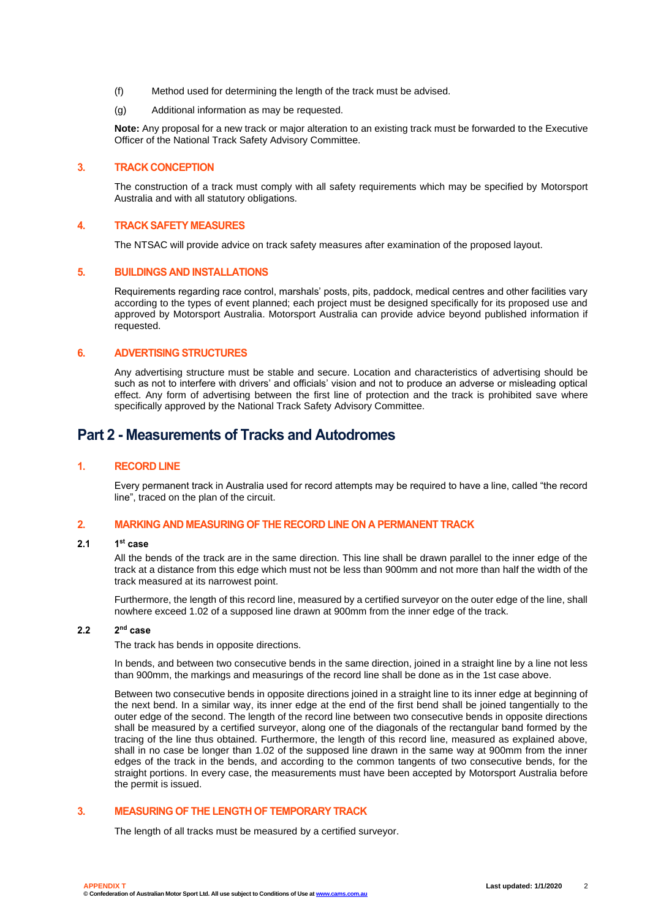- (f) Method used for determining the length of the track must be advised.
- (g) Additional information as may be requested.

**Note:** Any proposal for a new track or major alteration to an existing track must be forwarded to the Executive Officer of the National Track Safety Advisory Committee.

#### **3. TRACK CONCEPTION**

The construction of a track must comply with all safety requirements which may be specified by Motorsport Australia and with all statutory obligations.

#### **4. TRACK SAFETY MEASURES**

The NTSAC will provide advice on track safety measures after examination of the proposed layout.

#### **5. BUILDINGS AND INSTALLATIONS**

Requirements regarding race control, marshals' posts, pits, paddock, medical centres and other facilities vary according to the types of event planned; each project must be designed specifically for its proposed use and approved by Motorsport Australia. Motorsport Australia can provide advice beyond published information if requested.

#### **6. ADVERTISING STRUCTURES**

Any advertising structure must be stable and secure. Location and characteristics of advertising should be such as not to interfere with drivers' and officials' vision and not to produce an adverse or misleading optical effect. Any form of advertising between the first line of protection and the track is prohibited save where specifically approved by the National Track Safety Advisory Committee.

## **Part 2 - Measurements of Tracks and Autodromes**

#### **1. RECORD LINE**

Every permanent track in Australia used for record attempts may be required to have a line, called "the record line", traced on the plan of the circuit.

#### **2. MARKING AND MEASURING OF THE RECORD LINE ON A PERMANENT TRACK**

#### **2.1 1 st case**

All the bends of the track are in the same direction. This line shall be drawn parallel to the inner edge of the track at a distance from this edge which must not be less than 900mm and not more than half the width of the track measured at its narrowest point.

Furthermore, the length of this record line, measured by a certified surveyor on the outer edge of the line, shall nowhere exceed 1.02 of a supposed line drawn at 900mm from the inner edge of the track.

#### **2.2 2 nd case**

The track has bends in opposite directions.

In bends, and between two consecutive bends in the same direction, joined in a straight line by a line not less than 900mm, the markings and measurings of the record line shall be done as in the 1st case above.

Between two consecutive bends in opposite directions joined in a straight line to its inner edge at beginning of the next bend. In a similar way, its inner edge at the end of the first bend shall be joined tangentially to the outer edge of the second. The length of the record line between two consecutive bends in opposite directions shall be measured by a certified surveyor, along one of the diagonals of the rectangular band formed by the tracing of the line thus obtained. Furthermore, the length of this record line, measured as explained above, shall in no case be longer than 1.02 of the supposed line drawn in the same way at 900mm from the inner edges of the track in the bends, and according to the common tangents of two consecutive bends, for the straight portions. In every case, the measurements must have been accepted by Motorsport Australia before the permit is issued.

### **3. MEASURING OF THE LENGTH OF TEMPORARY TRACK**

The length of all tracks must be measured by a certified surveyor.